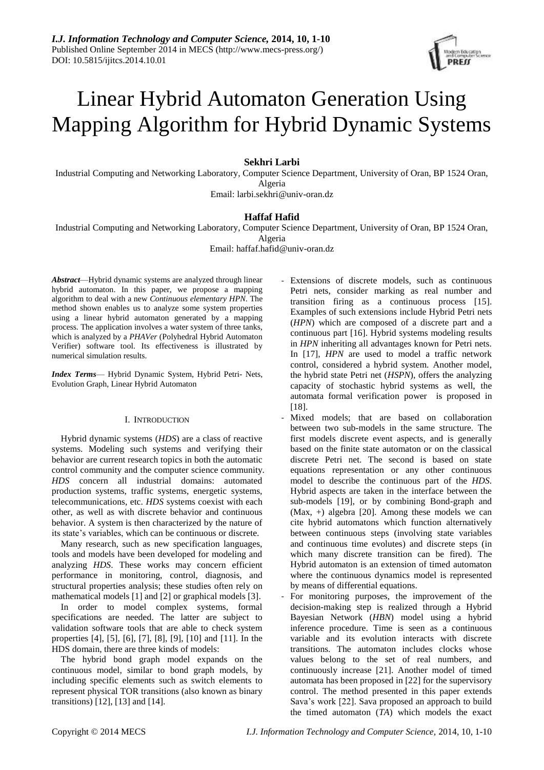

# Linear Hybrid Automaton Generation Using Mapping Algorithm for Hybrid Dynamic Systems

# **Sekhri Larbi**

Industrial Computing and Networking Laboratory, Computer Science Department, University of Oran, BP 1524 Oran, Algeria Email: [larbi.sekhri@univ-oran.dz](mailto:larbi.sekhri@univ-oran.dz)

# **Haffaf Hafid**

Industrial Computing and Networking Laboratory, Computer Science Department, University of Oran, BP 1524 Oran,

Algeria Email: haffaf.hafid@univ-oran.dz

*Abstract*—Hybrid dynamic systems are analyzed through linear hybrid automaton. In this paper, we propose a mapping algorithm to deal with a new *Continuous elementary HPN*. The method shown enables us to analyze some system properties using a linear hybrid automaton generated by a mapping process. The application involves a water system of three tanks, which is analyzed by a *PHAVer* (Polyhedral Hybrid Automaton Verifier) software tool. Its effectiveness is illustrated by numerical simulation results.

*Index Terms*— Hybrid Dynamic System, Hybrid Petri- Nets, Evolution Graph, Linear Hybrid Automaton

# I. INTRODUCTION

Hybrid dynamic systems (*HDS*) are a class of reactive systems. Modeling such systems and verifying their behavior are current research topics in both the automatic control community and the computer science community. *HDS* concern all industrial domains: automated production systems, traffic systems, energetic systems, telecommunications, etc. *HDS* systems coexist with each other, as well as with discrete behavior and continuous behavior. A system is then characterized by the nature of its state's variables, which can be continuous or discrete.

Many research, such as new specification languages, tools and models have been developed for modeling and analyzing *HDS*. These works may concern efficient performance in monitoring, control, diagnosis, and structural properties analysis; these studies often rely on mathematical models [1] and [2] or graphical models [3].

In order to model complex systems, formal specifications are needed. The latter are subject to validation software tools that are able to check system properties [4], [5], [6], [7], [8], [9], [10] and [11]. In the HDS domain, there are three kinds of models:

The hybrid bond graph model expands on the continuous model, similar to bond graph models, by including specific elements such as switch elements to represent physical TOR transitions (also known as binary transitions) [12], [13] and [14].

- Extensions of discrete models, such as continuous Petri nets, consider marking as real number and transition firing as a continuous process [15]. Examples of such extensions include Hybrid Petri nets (*HPN*) which are composed of a discrete part and a continuous part [16]. Hybrid systems modeling results in *HPN* inheriting all advantages known for Petri nets. In [17], *HPN* are used to model a traffic network control, considered a hybrid system. Another model, the hybrid state Petri net (*HSPN*), offers the analyzing capacity of stochastic hybrid systems as well, the automata formal verification power is proposed in [18].
- Mixed models; that are based on collaboration between two sub-models in the same structure. The first models discrete event aspects, and is generally based on the finite state automaton or on the classical discrete Petri net. The second is based on state equations representation or any other continuous model to describe the continuous part of the *HDS*. Hybrid aspects are taken in the interface between the sub-models [19], or by combining Bond-graph and (Max, +) algebra [20]. Among these models we can cite hybrid automatons which function alternatively between continuous steps (involving state variables and continuous time evolutes) and discrete steps (in which many discrete transition can be fired). The Hybrid automaton is an extension of timed automaton where the continuous dynamics model is represented by means of differential equations.
- For monitoring purposes, the improvement of the decision-making step is realized through a Hybrid Bayesian Network (*HBN*) model using a hybrid inference procedure. Time is seen as a continuous variable and its evolution interacts with discrete transitions. The automaton includes clocks whose values belong to the set of real numbers, and continuously increase [21]. Another model of timed automata has been proposed in [22] for the supervisory control. The method presented in this paper extends Sava's work [22]. Sava proposed an approach to build the timed automaton (*TA*) which models the exact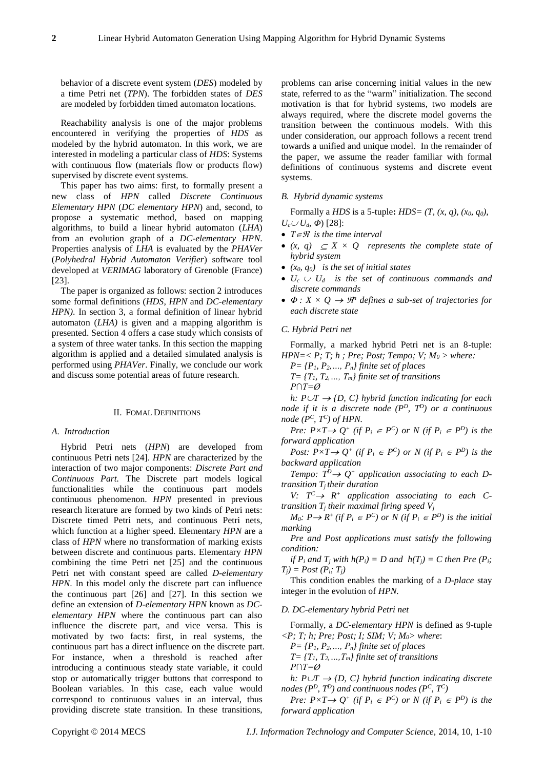behavior of a discrete event system (*DES*) modeled by a time Petri net (*TPN*). The forbidden states of *DES* are modeled by forbidden timed automaton locations.

Reachability analysis is one of the major problems encountered in verifying the properties of *HDS* as modeled by the hybrid automaton. In this work, we are interested in modeling a particular class of *HDS*: Systems with continuous flow (materials flow or products flow) supervised by discrete event systems.

This paper has two aims: first, to formally present a new class of *HPN* called *Discrete Continuous Elementary HPN* (*DC elementary HPN*) and, second, to propose a systematic method, based on mapping algorithms, to build a linear hybrid automaton (*LHA*) from an evolution graph of a *DC-elementary HPN*. Properties analysis of *LHA* is evaluated by the *PHAVer* (*Polyhedral Hybrid Automaton Verifier*) software tool developed at *VERIMAG* laboratory of Grenoble (France) [23].

The paper is organized as follows: section 2 introduces some formal definitions (*HDS, HPN* and *DC-elementary HPN)*. In section 3, a formal definition of linear hybrid automaton (*LHA)* is given and a mapping algorithm is presented. Section 4 offers a case study which consists of a system of three water tanks. In this section the mapping algorithm is applied and a detailed simulated analysis is performed using *PHAVer*. Finally, we conclude our work and discuss some potential areas of future research.

#### II. FOMAL DEFINITIONS

#### *A. Introduction*

Hybrid Petri nets (*HPN*) are developed from continuous Petri nets [24]. *HPN* are characterized by the interaction of two major components: *Discrete Part and Continuous Part.* The Discrete part models logical functionalities while the continuous part models continuous phenomenon. *HPN* presented in previous research literature are formed by two kinds of Petri nets: Discrete timed Petri nets, and continuous Petri nets, which function at a higher speed. Elementary *HPN* are a class of *HPN* where no transformation of marking exists between discrete and continuous parts. Elementary *HPN* combining the time Petri net [25] and the continuous Petri net with constant speed are called *D-elementary HPN*. In this model only the discrete part can influence the continuous part [26] and [27]. In this section we define an extension of *D-elementary HPN* known as *DCelementary HPN* where the continuous part can also influence the discrete part, and vice versa. This is motivated by two facts: first, in real systems, the continuous part has a direct influence on the discrete part. For instance, when a threshold is reached after introducing a continuous steady state variable, it could stop or automatically trigger buttons that correspond to Boolean variables. In this case, each value would correspond to continuous values in an interval, thus providing discrete state transition. In these transitions,

problems can arise concerning initial values in the new state, referred to as the "warm" initialization. The second motivation is that for hybrid systems, two models are always required, where the discrete model governs the transition between the continuous models. With this under consideration, our approach follows a recent trend towards a unified and unique model. In the remainder of the paper, we assume the reader familiar with formal definitions of continuous systems and discrete event systems.

## *B. Hybrid dynamic systems*

Formally a *HDS* is a 5-tuple**:** *HDS= (T, (x, q), (x0, q0),*   $U_c \cup U_d$ ,  $\Phi$ ) [28]:

- $T \in \mathcal{R}$  *is the time interval*
- $(x, q) \subset X \times Q$  represents the complete state of *hybrid system*
- *(x0, q0) is the set of initial states*
- $U_c \cup U_d$  is the set of continuous commands and *discrete commands*
- $\Phi: X \times Q \rightarrow \mathbb{R}^n$  *defines a sub-set of trajectories for each discrete state*

# *C. Hybrid Petri net*

Formally, a marked hybrid Petri net is an 8-tuple: *HPN*= $\langle P; T; h; Pre; Post; Tempo; V; M_0 \rangle$  *where:* 

 $P = {P_1, P_2, ..., P_n}$  finite set of places

*T*=  $\{T_1, T_2, \ldots, T_m\}$  finite set of transitions

*P∩T=Ø*

*h:*  $P \cup T \rightarrow \{D, C\}$  *hybrid function indicating for each node if it is a discrete node (P<sup>D</sup>, T<sup>D</sup>) or a continuous node (P<sup>C</sup> , T<sup>C</sup> ) of HPN.*

*Pre:*  $P \times T \rightarrow Q^+$  (if  $P_i \in P^C$ ) or N (if  $P_i \in P^D$ ) is the *forward application* 

*Post:*  $P \times T \rightarrow Q^+$  (if  $P_i \in P^C$ ) or N (if  $P_i \in P^D$ ) is the *backward application* 

*Tempo:*  $T^D \rightarrow Q^+$  *application associating to each Dtransition Tj their duration* 

*V*:  $T^C \rightarrow R^+$  application associating to each C*transition T<sup>j</sup> their maximal firing speed V<sup>j</sup>*

*M*<sup> $0$ </sup>:  $P \rightarrow R^+$  (if  $P_i \in P^C$ ) or N (if  $P_i \in P^D$ ) is the initial *marking*

*Pre and Post applications must satisfy the following condition:*

*if*  $P_i$  *and*  $T_i$  *with*  $h(P_i) = D$  *and*  $h(T_i) = C$  *then*  $Pre(P_i;$  $T_i$ *)* = *Post* ( $P_i$ *;*  $T_i$ *)* 

This condition enables the marking of a *D-place* stay integer in the evolution of *HPN.* 

## *D. DC-elementary hybrid Petri net*

Formally, a *DC-elementary HPN* is defined as 9-tuple *<P; T; h; Pre; Post; I; SIM; V; M0> where*:

*P= {P1, P2,…, Pn} finite set of places*

*T= {T1, T2,…,Tm} finite set of transitions P∩T=Ø*

*h:*  $P \cup T \rightarrow \{D, C\}$  *hybrid function indicating discrete nodes (P<sup>D</sup>, T<sup>D</sup>) and continuous nodes (P<sup>C</sup> , T<sup>C</sup> )*

*Pre:*  $P \times T \rightarrow Q^+$  (if  $P_i \in P^C$ ) or N (if  $P_i \in P^D$ ) is the *forward application*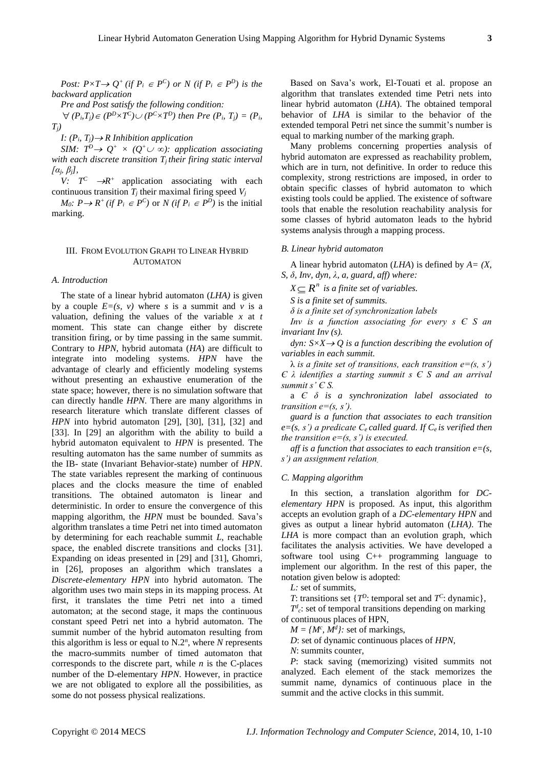*Post:*  $P \times T \rightarrow Q^+$  (if  $P_i \in P^C$ ) or  $N$  (if  $P_i \in P^D$ ) is the *backward application* 

*Pre and Post satisfy the following condition:* 

 $\nabla$   $(P_i, T_j) \in (P^D \times T^C) \cup (P^C \times T^D)$  then Pre  $(P_i, T_j) = (P_i, T_j)$ *Tj)*

*I:*  $(P_i, T_j) \rightarrow R$  *Inhibition application* 

*SIM:*  $T^D \rightarrow Q^+ \times (Q^+ \cup \infty)$ : *application associating with each discrete transition Tj their firing static interval [αj, βj],*

*V:*  $T^C \rightarrow R^+$  application associating with each continuous transition  $T_j$  their maximal firing speed  $V_j$ 

*M*<sup>0</sup>:  $P \rightarrow R^+$  (*if*  $P_i \in P^C$ ) or *N* (*if*  $P_i \in P^D$ ) is the initial marking.

## III. FROM EVOLUTION GRAPH TO LINEAR HYBRID AUTOMATON

# *A. Introduction*

The state of a linear hybrid automaton (*LHA)* is given by a couple  $E=(s, v)$  where *s* is a summit and *v* is a valuation, defining the values of the variable *x* at *t* moment. This state can change either by discrete transition firing, or by time passing in the same summit. Contrary to *HPN*, hybrid automata (*HA*) are difficult to integrate into modeling systems. *HPN* have the advantage of clearly and efficiently modeling systems without presenting an exhaustive enumeration of the state space; however, there is no simulation software that can directly handle *HPN*. There are many algorithms in research literature which translate different classes of *HPN* into hybrid automaton [29], [30], [31], [32] and [33]. In [29] an algorithm with the ability to build a hybrid automaton equivalent to *HPN* is presented. The resulting automaton has the same number of summits as the IB- state (Invariant Behavior-state) number of *HPN*. The state variables represent the marking of continuous places and the clocks measure the time of enabled transitions. The obtained automaton is linear and deterministic. In order to ensure the convergence of this mapping algorithm, the *HPN* must be bounded. Sava's algorithm translates a time Petri net into timed automaton by determining for each reachable summit *L*, reachable space, the enabled discrete transitions and clocks [31]. Expanding on ideas presented in [29] and [31], Ghomri, in [26], proposes an algorithm which translates a *Discrete-elementary HPN* into hybrid automaton. The algorithm uses two main steps in its mapping process. At first, it translates the time Petri net into a timed automaton; at the second stage, it maps the continuous constant speed Petri net into a hybrid automaton. The summit number of the hybrid automaton resulting from this algorithm is less or equal to  $N.2<sup>n</sup>$ , where *N* represents the macro-summits number of timed automaton that corresponds to the discrete part, while *n* is the C-places number of the D-elementary *HPN*. However, in practice we are not obligated to explore all the possibilities, as some do not possess physical realizations.

Based on Sava's work, El-Touati et al. propose an algorithm that translates extended time Petri nets into linear hybrid automaton (*LHA*). The obtained temporal behavior of *LHA* is similar to the behavior of the extended temporal Petri net since the summit's number is equal to marking number of the marking graph.

Many problems concerning properties analysis of hybrid automaton are expressed as reachability problem, which are in turn, not definitive. In order to reduce this complexity, strong restrictions are imposed, in order to obtain specific classes of hybrid automaton to which existing tools could be applied. The existence of software tools that enable the resolution reachability analysis for some classes of hybrid automaton leads to the hybrid systems analysis through a mapping process.

# *B. Linear hybrid automaton*

A linear hybrid automaton (*LHA*) is defined by *A= (X, S, δ, Inv, dyn, λ, a, guard, aff) where:*

 $X \subseteq R^n$  is a finite set of variables.

*S is a finite set of summits.*

*δ is a finite set of synchronization labels*

*Inv is a function associating for every s Є S an invariant Inv (s).*

*dyn:*  $S \times X \rightarrow Q$  *is a function describing the evolution of variables in each summit.*

 $\lambda$  *is a finite set of transitions, each transition e=(s, s') Є λ identifies a starting summit s Є S and an arrival summit s' Є S.*

a *Є δ is a synchronization label associated to transition e=(s, s').*

*guard is a function that associates to each transition*   $e=(s, s')$  a predicate  $C_e$  called guard. If  $C_e$  is verified then *the transition*  $e=(s, s')$  *is executed.* 

*aff* is a function that associates to each transition  $e = (s, \theta)$ *s') an assignment relation.*

## *C. Mapping algorithm*

In this section, a translation algorithm for *DCelementary HPN* is proposed. As input, this algorithm accepts an evolution graph of a *DC-elementary HPN* and gives as output a linear hybrid automaton (*LHA)*. The *LHA* is more compact than an evolution graph, which facilitates the analysis activities. We have developed a software tool using C++ programming language to implement our algorithm. In the rest of this paper, the notation given below is adopted:

*L:* set of summits,

*T*: transitions set { $T^D$ : temporal set and  $T^C$ : dynamic},

 $T_c^l$ : set of temporal transitions depending on marking of continuous places of HPN,

 $M = \{M^c, M^d\}$ : set of markings,

*D*: set of dynamic continuous places of *HPN*,

*N*: summits counter,

*P*: stack saving (memorizing) visited summits not analyzed. Each element of the stack memorizes the summit name, dynamics of continuous place in the summit and the active clocks in this summit.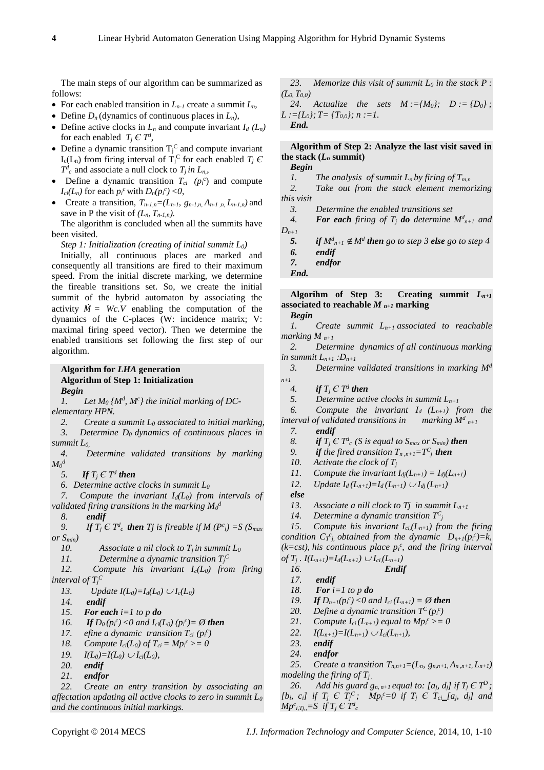The main steps of our algorithm can be summarized as follows:

- For each enabled transition in  $L_{n-1}$  create a summit  $L_n$ ,
- Define  $D_n$  (dynamics of continuous places in  $L_n$ ),
- Define active clocks in  $L_n$  and compute invariant  $I_d$   $(L_n)$ for each enabled  $T_j \in T^d$ ,
- Define a dynamic transition  $T_j^C$  and compute invariant  $I_c(L_n)$  from firing interval of  $T_j^C$  for each enabled  $T_j C$  $T^d$ <sup>*c*</sup> and associate a null clock to  $T_j$  *in L<sub>n</sub>*,
- Define a dynamic transition  $T_{ci}$  ( $p_i^c$ ) and compute *Ici*(*L<sub>n</sub>*) for each  $p_i^c$  with  $D_n(p_i^c) < 0$ ,
- Create a transition,  $T_{n-1,n} = (L_{n-1}, g_{n-1,n}, A_{n-1,n}, L_{n-1,n})$  and save in P the visit of  $(L_n, T_{n-1,n})$ .

The algorithm is concluded when all the summits have been visited.

*Step 1: Initialization (creating of initial summit L0)*

Initially, all continuous places are marked and consequently all transitions are fired to their maximum speed. From the initial discrete marking, we determine the fireable transitions set. So, we create the initial summit of the hybrid automaton by associating the activity  $\dot{M} = Wc.V$  enabling the computation of the dynamics of the C-places (W: incidence matrix; V: maximal firing speed vector). Then we determine the enabled transitions set following the first step of our algorithm.

# **Algorithm for** *LHA* **generation Algorithm of Step 1: Initialization** *Begin*

1. Let  $M_0$   $\{M^d, M^c\}$  the initial marking of DC*elementary HPN.*

*2. Create a summit L<sup>0</sup> associated to initial marking,*

*3. Determine D0 dynamics of continuous places in summit L0,*

*4. Determine validated transitions by marking*   $M$ <sup>*d*</sup>

5. If  $T_j \in T^d$  then

*6. Determine active clocks in summit L<sup>0</sup>*

*7. Compute the invariant Id(L0) from intervals of validated firing transitions in the marking M<sup>0</sup> d*

*8. endif* 

*9. If*  $T_j \in T_c^d$  *then*  $T_j$  is fireable if  $M(P_c^c) = S(S_{max}$ *or Smin)* 

10. Associate a nil clock to  $T_i$  in summit  $L_0$ 

11. Determine a dynamic transition  $T_j^C$ 

*12. Compute his invariant Ic(L0) from firing interval of*  $T_j^C$ 

*13. Update*  $I(L_0) = I_d(L_0) \cup I_c(L_0)$ 

*14. endif*

*15. For each i=1 to p do*

*16. If*  $D_0(p_i^c) < 0$  and  $I_{ci}(L_0)(p_i^c) = \emptyset$  then

17. *efine a dynamic transition*  $T_{ci}$  ( $p_i^c$ )

- *18. Compute*  $I_{ci}(L_0)$  *of*  $T_{ci} = M p_i^c > = 0$
- *19.*  $I(L_0) = I(L_0) \cup I_{ci}(L_0)$ ,

*20. endif*

*21. endfor*

*22. Create an entry transition by associating an affectation updating all active clocks to zero in summit L<sup>0</sup> and the continuous initial markings.*

*23. Memorize this visit of summit L<sup>0</sup> in the stack P : (L0, T0,0)*

24. *Actualize the sets*  $M := {M_0}$ ;  $D := {D_0}$ ; *L :={L0}; T= {T0,0}; n :=1. End.*

# **Algorithm of Step 2: Analyze the last visit saved in**  the stack  $(L_n \text{ summit})$

*Begin*

*1. The analysis of summit*  $L_n$  *by firing of*  $T_{m,n}$ 

*2. Take out from the stack element memorizing this visit*

*3. Determine the enabled transitions set* 

4. *For each firing of T<sub>j</sub> do determine*  $M_{n+1}^d$  and

 $D_{n+1}$ 5. *if*  $M^d_{n+1} \notin M^d$  then go to step 3 **else** go to step 4 *6. endif*

*7. endfor*

*End.*

**Algorihm of Step 3: Creating summit** *Ln+1* **associated to reachable** *M n+1* **marking**

*Begin 1. Create summit Ln+1 associated to reachable marking*  $M_{n+1}$ 

*2. Determine dynamics of all continuous marking in summit*  $L_{n+1}$  *:D<sub>n+1</sub>* 

*3. Determine validated transitions in marking M<sup>d</sup> n+1*

*4. if*  $T_j \in T^d$  *then* 

*5. Determine active clocks in summit Ln+1*

6. *Compute the invariant*  $I_d$   $(L_{n+1})$  from the

*interval of validated transitions in marking*  $M_{n+1}^d$ 

*7. endif*

8. *if*  $T_j \in T^d$  *c (S is equal to*  $S_{max}$  *<i>or*  $S_{min}$ *) then* 

9. *if the fired transition*  $T_{n,n+1} = T^C$ <sup>*j*</sup>*then* 

*10. Activate the clock of T<sup>j</sup>*

11. *Compute the invariant*  $I_{dj}(L_{n+1}) = I_{dj}(L_{n+1})$ 

*12. Update*  $I_d(L_{n+1})=I_d(L_{n+1}) \cup I_{dj}(L_{n+1})$ 

*else* 

*13. Associate a nill clock to Tj in summit Ln+1*

14. Determine a dynamic transition  $T^C$ 

*15. Compute his invariant Ici,(Ln+1) from the firing condition*  $C_T^c$ *, obtained from the dynamic*  $D_{n+1}(p_i^c) = k$ *,*  $(k=cst)$ , his continuous place  $p_i^c$ , and the firing interval  $of T_i$ ,  $I(L_{n+1})=I_d(L_{n+1}) \cup I_{ci}(L_{n+1})$ 

$$
16. \qquad \qquad Endif
$$

*17. endif*

*18. For i=1 to p do*

*19. If*  $D_{n+1}(p_i^c) < 0$  and  $I_{ci}(L_{n+1}) = \emptyset$  then

- 20. *Define a dynamic transition*  $T^C(p_i^c)$
- 21. *Compute I*<sub>*ci*</sub>(*L*<sub>*n+1*</sub>) *equal to Mp*<sup>*c*</sup> > = 0
- 22.  $I(L_{n+1})=I(L_{n+1}) \cup I_{ci}(L_{n+1}),$
- *23. endif*
- *24. endfor*

25. *Create a transition*  $T_{n,n+1} = (L_n, g_{n,n+1}, A_{n,n+1}, L_{n+1})$ *modeling the firing of Tj .*

26. *Add his guard*  $g_{n, n+1}$  *equal to: [a<sub><i>j*</sub>, d<sub>*j*</sub>] if  $T_j \n\in T^D$ ; *[b<sub>i</sub>, c<sub>i</sub>] if*  $T_j \t C T_j^C$ ; *Mp*<sup>*c*</sup>=0 *if*  $T_j \t C T_{ci}$  *[a<sub>j</sub>, d<sub>j</sub>] and M*<sup> $c$ </sup><sub>*i,Tj*<sub>*i*</sub></sub>, =*S if*  $T$ <sup>*j*</sup>  $\in$   $T$ <sup>*d*</sup><sub>*c*</sub>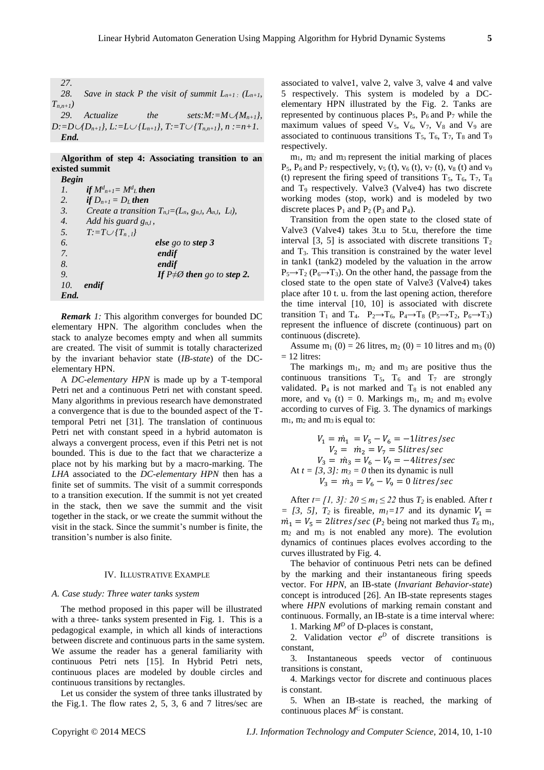*27.*

28. *Save in stack P the visit of summit*  $L_{n+1}$ *:*  $(L_{n+1}$ *Tn,n+1)*

29. *Actualize* the *sets:M:*= $M \cup \{M_{n+1}\},$ *D:*= $D \cup \{D_{n+1}\}\$ , L:= $L \cup \{L_{n+1}\}\$ , T:= $T \cup \{T_{n,n+1}\}\$ , n:=n+1. *End.*

**Algorithm of step 4: Associating transition to an existed summit**  *Begin*

| Begin            |                                                              |
|------------------|--------------------------------------------------------------|
| 1.               | if $M_{n+1}^d = M_{\perp}^d$ then                            |
| 2.               | if $D_{n+1} = D_L$ then                                      |
| 3.               | Create a transition $T_{n,l}=(L_n, g_{n,l}, A_{n,l}, L_l)$ , |
| $\overline{4}$ . | Add his guard $g_{nl}$ ,                                     |
| 5.               | $T:=T\cup \{T_{n,l}\}\$                                      |
| 6.               | else go to step 3                                            |
| 7.               | endif                                                        |
| 8.               | endif                                                        |
| 9.               | If $P \neq \emptyset$ then go to step 2.                     |
| 10.              | endif                                                        |
| End.             |                                                              |

*Remark 1:* This algorithm converges for bounded DC elementary HPN. The algorithm concludes when the stack to analyze becomes empty and when all summits are created. The visit of summit is totally characterized by the invariant behavior state (*IB-state*) of the DCelementary HPN.

A *DC-elementary HPN* is made up by a T-temporal Petri net and a continuous Petri net with constant speed. Many algorithms in previous research have demonstrated a convergence that is due to the bounded aspect of the Ttemporal Petri net [31]. The translation of continuous Petri net with constant speed in a hybrid automaton is always a convergent process, even if this Petri net is not bounded. This is due to the fact that we characterize a place not by his marking but by a macro-marking. The *LHA* associated to the *DC-elementary HPN* then has a finite set of summits. The visit of a summit corresponds to a transition execution. If the summit is not yet created in the stack, then we save the summit and the visit together in the stack, or we create the summit without the visit in the stack. Since the summit's number is finite, the transition's number is also finite.

# IV. ILLUSTRATIVE EXAMPLE

# *A. Case study: Three water tanks system*

The method proposed in this paper will be illustrated with a three- tanks system presented in Fig. 1. This is a pedagogical example, in which all kinds of interactions between discrete and continuous parts in the same system. We assume the reader has a general familiarity with continuous Petri nets [15]. In Hybrid Petri nets, continuous places are modeled by double circles and continuous transitions by rectangles.

Let us consider the system of three tanks illustrated by the Fig.1. The flow rates 2, 5, 3, 6 and 7 litres/sec are associated to valve1, valve 2, valve 3, valve 4 and valve 5 respectively. This system is modeled by a DCelementary HPN illustrated by the Fig. 2. Tanks are represented by continuous places  $P_5$ ,  $P_6$  and  $P_7$  while the maximum values of speed  $V_5$ ,  $V_6$ ,  $V_7$ ,  $V_8$  and  $V_9$  are associated to continuous transitions  $T_5$ ,  $T_6$ ,  $T_7$ ,  $T_8$  and  $T_9$ respectively.

 $m_1$ ,  $m_2$  and  $m_3$  represent the initial marking of places  $P_5$ ,  $P_6$  and  $P_7$  respectively,  $v_5$  (t),  $v_6$  (t),  $v_7$  (t),  $v_8$  (t) and  $v_9$ (t) represent the firing speed of transitions  $T_5$ ,  $T_6$ ,  $T_7$ ,  $T_8$ and T<sup>9</sup> respectively. Valve3 (Valve4) has two discrete working modes (stop, work) and is modeled by two discrete places  $P_1$  and  $P_2$  ( $P_3$  and  $P_4$ ).

Transition from the open state to the closed state of Valve3 (Valve4) takes 3t.u to 5t.u, therefore the time interval [3, 5] is associated with discrete transitions  $T_2$ and T3. This transition is constrained by the water level in tank1 (tank2) modeled by the valuation in the arrow  $P_5 \rightarrow T_2 (P_6 \rightarrow T_3)$ . On the other hand, the passage from the closed state to the open state of Valve3 (Valve4) takes place after 10 t. u. from the last opening action, therefore the time interval [10, 10] is associated with discrete transition T<sub>1</sub> and T<sub>4</sub>. P<sub>2</sub>→T<sub>6</sub>, P<sub>4</sub>→T<sub>8</sub> (P<sub>5</sub>→T<sub>2</sub>, P<sub>6</sub>→T<sub>3</sub>) represent the influence of discrete (continuous) part on continuous (discrete).

Assume  $m_1$  (0) = 26 litres,  $m_2$  (0) = 10 litres and  $m_3$  (0)  $= 12$  litres:

The markings  $m_1$ ,  $m_2$  and  $m_3$  are positive thus the continuous transitions  $T_5$ ,  $T_6$  and  $T_7$  are strongly validated.  $P_4$  is not marked and  $T_8$  is not enabled any more, and  $v_8$  (t) = 0. Markings  $m_1$ ,  $m_2$  and  $m_3$  evolve according to curves of Fig. 3. The dynamics of markings  $m_1$ ,  $m_2$  and  $m_3$  is equal to:

$$
V_1 = m_1 = V_5 - V_6 = -1
$$
  
\n
$$
V_2 = m_2 = V_7 = 5
$$
  
\n
$$
V_3 = m_3 = V_6 - V_9 = -4
$$
  
\n
$$
V_4 = [3, 3]
$$
  
\n
$$
m_3 = 0
$$
 then its dynamic is null  
\n
$$
V_3 = m_3 = V_6 - V_9 = 0
$$
  
\n
$$
U_4 = 0
$$

After  $t = \{1, 3\}$ :  $20 \le m_1 \le 22$  thus  $T_2$  is enabled. After *t*  $=$  [3, 5],  $T_2$  is fireable,  $m_1=17$  and its dynamic  $V_1=$  $\dot{m}_1 = V_5 = 2$ *litres/sec* (*P*<sub>2</sub> being not marked thus  $T_6$  m<sub>1</sub>, m<sup>2</sup> and m<sup>3</sup> is not enabled any more). The evolution dynamics of continues places evolves according to the curves illustrated by Fig. 4.

The behavior of continuous Petri nets can be defined by the marking and their instantaneous firing speeds vector. For *HPN*, an IB-state (*Invariant Behavior-state*) concept is introduced [26]. An IB-state represents stages where *HPN* evolutions of marking remain constant and continuous. Formally, an IB-state is a time interval where: 1. Marking *M<sup>D</sup>* of D-places is constant,

2. Validation vector  $e^D$  of discrete transitions is constant,

3. Instantaneous speeds vector of continuous transitions is constant,

4. Markings vector for discrete and continuous places is constant.

5. When an IB-state is reached, the marking of continuous places *M<sup>C</sup>* is constant.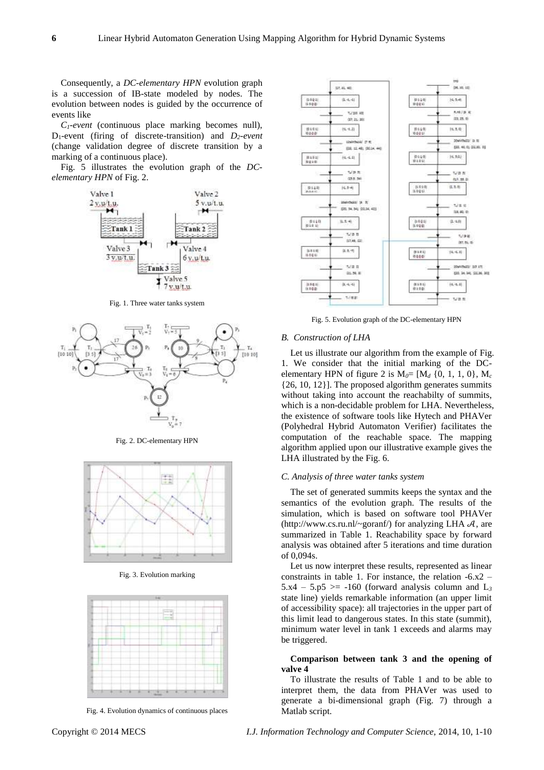Consequently, a *DC-elementary HPN* evolution graph is a succession of IB-state modeled by nodes. The evolution between nodes is guided by the occurrence of events like

*C1-event* (continuous place marking becomes null), D1-event (firing of discrete-transition) and *D2-event*  (change validation degree of discrete transition by a marking of a continuous place).

Fig. 5 illustrates the evolution graph of the *DCelementary HPN* of Fig. 2.



Fig. 1. Three water tanks system



Fig. 2. DC-elementary HPN



Fig. 3. Evolution marking



Fig. 4. Evolution dynamics of continuous places



Fig. 5. Evolution graph of the DC-elementary HPN

### *B. Construction of LHA*

Let us illustrate our algorithm from the example of Fig. 1. We consider that the initial marking of the DCelementary HPN of figure 2 is  $M_0 = [M_d \{0, 1, 1, 0\}, M_c]$ {26, 10, 12}]. The proposed algorithm generates summits without taking into account the reachabilty of summits, which is a non-decidable problem for LHA. Nevertheless, the existence of software tools like Hytech and PHAVer (Polyhedral Hybrid Automaton Verifier) facilitates the computation of the reachable space. The mapping algorithm applied upon our illustrative example gives the LHA illustrated by the Fig. 6.

## *C. Analysis of three water tanks system*

The set of generated summits keeps the syntax and the semantics of the evolution graph. The results of the simulation, which is based on software tool PHAVer (http://www.cs.ru.nl/~goranf/) for analyzing LHA  $A$ , are summarized in Table 1. Reachability space by forward analysis was obtained after 5 iterations and time duration of 0,094s.

Let us now interpret these results, represented as linear constraints in table 1. For instance, the relation -6.x2 –  $5.x4 - 5.5 \ge -160$  (forward analysis column and L<sub>3</sub> state line) yields remarkable information (an upper limit of accessibility space): all trajectories in the upper part of this limit lead to dangerous states. In this state (summit), minimum water level in tank 1 exceeds and alarms may be triggered.

# **Comparison between tank 3 and the opening of valve 4**

To illustrate the results of Table 1 and to be able to interpret them, the data from PHAVer was used to generate a bi-dimensional graph (Fig. 7) through a Matlab script.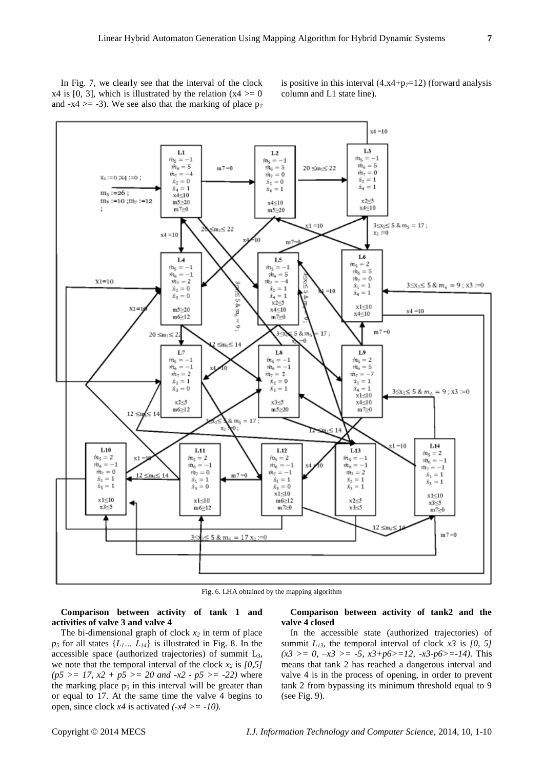In Fig. 7, we clearly see that the interval of the clock  $x4$  is [0, 3], which is illustrated by the relation  $(x4 \ge 0$ and  $-x4 \ge -3$ ). We see also that the marking of place  $p_7$ 

is positive in this interval  $(4.x4+p<sub>7</sub>=12)$  (forward analysis column and L1 state line).



Fig. 6. LHA obtained by the mapping algorithm

**Comparison between activity of tank 1 and activities of valve 3 and valve 4**

# The bi-dimensional graph of clock *x<sup>2</sup>* in term of place  $p_5$  for all states  $\{L_1, L_4\}$  is illustrated in Fig. 8. In the accessible space (authorized trajectories) of summit  $L_3$ , we note that the temporal interval of the clock  $x_2$  is  $[0,5]$  $(p5 \geq 17, x2 + p5 \geq 20 \text{ and } -x2 - p5 \geq -22)$  where the marking place  $p_5$  in this interval will be greater than or equal to 17. At the same time the valve 4 begins to open, since clock  $x4$  is activated  $(-x4) = -10$ .

## **Comparison between activity of tank2 and the valve 4 closed**

In the accessible state (authorized trajectories) of summit  $L_{13}$ , the temporal interval of clock  $x3$  is  $[0, 5]$  $(x3 \ge 0, -x3 \ge -5, x3+p6 \ge -12, -x3-p6 \ge -14)$ . This means that tank 2 has reached a dangerous interval and valve 4 is in the process of opening, in order to prevent tank 2 from bypassing its minimum threshold equal to 9 (see Fig. 9)*.*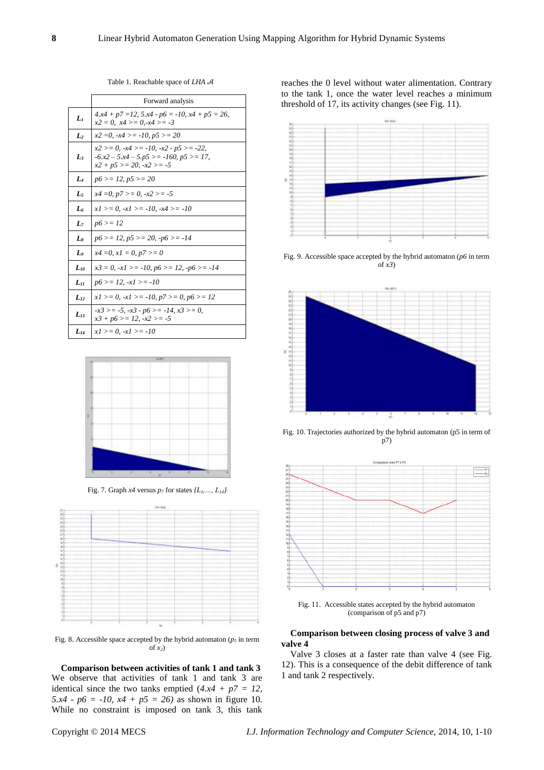Table 1. Reachable space of *LHA* 

|                | Forward analysis                                                                                                                       |
|----------------|----------------------------------------------------------------------------------------------------------------------------------------|
| $L_1$          | $4.x4 + p7 = 12$ , $5.x4 - p6 = -10$ , $x4 + p5 = 26$ ,<br>$x2 = 0$ , $x4 >= 0, -x4 >= -3$                                             |
| $\mathbf{L}_2$ | $x2 = 0, -x4 >= -10, p5 >= 20$                                                                                                         |
| L              | $x2 > = 0, -x4 > = -10, -x2 - p5 > = -22,$<br>$-6.x^2 - 5.x^4 - 5.y^5 \ge -160$ , $p5 \ge -17$ ,<br>$x^2 + p^5 > = 20, \, -x^2 > = -5$ |
| $L_4$          | $p6 \geq 12, p5 \geq 20$                                                                                                               |
| L5             | $x4 = 0, p7 >= 0, -x2 >= -5$                                                                                                           |
| L <sub>6</sub> | $x1 >= 0, -x1 >= -10, -x4 >= -10$                                                                                                      |
| L7             | $p6 > = 12$                                                                                                                            |
| $L_8$          | $p6 \ge 12$ , $p5 \ge 20$ , $-p6 \ge -14$                                                                                              |
| L <sub>9</sub> | $x4 = 0, x1 = 0, p7 >= 0$                                                                                                              |
| $L_{10}$       | $x3 = 0, -x1 >= -10, p6 >= 12, -p6 >= -14$                                                                                             |
| $L_{II}$       | $p6 \geq 12$ , $-x1 \geq -10$                                                                                                          |
| $L_{12}$       | $x1 >= 0, -x1 >= -10, p7 >= 0, p6 >= 12$                                                                                               |
| $L_{13}$       | $-x3 > = -5$ , $-x3 - p6 > = -14$ , $x3 > = 0$ ,<br>$x3 + p6 > = 12, -x2 > = -5$                                                       |
| $L_{14}$       | $x1 >= 0, -x1 >= -10$                                                                                                                  |



Fig. 7. Graph *x4* versus  $p_7$  for states  $\{L_1, ..., L_{14}\}$ 



Fig. 8. Accessible space accepted by the hybrid automaton ( $p<sub>5</sub>$  in term of *x2*)

**Comparison between activities of tank 1 and tank 3** We observe that activities of tank 1 and tank 3 are identical since the two tanks emptied  $(4.x4 + p7 = 12,$ *5.x4 - p6 = -10, x4 + p5 = 26)* as shown in figure 10. While no constraint is imposed on tank 3, this tank reaches the 0 level without water alimentation. Contrary to the tank 1, once the water level reaches a minimum threshold of 17, its activity changes (see Fig. 11).



Fig. 9. Accessible space accepted by the hybrid automaton (*p6* in term of *x3*)



Fig. 10. Trajectories authorized by the hybrid automaton (p5 in term of p7)



Fig. 11. Accessible states accepted by the hybrid automaton (comparison of p5 and p7)

# **Comparison between closing process of valve 3 and valve 4**

Valve 3 closes at a faster rate than valve 4 (see Fig. 12). This is a consequence of the debit difference of tank 1 and tank 2 respectively.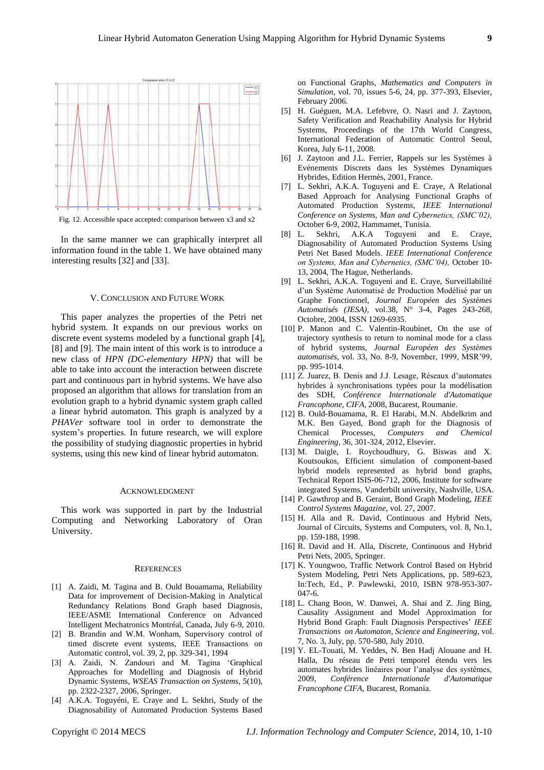

In the same manner we can graphically interpret all information found in the table 1. We have obtained many interesting results [32] and [33].

## V. CONCLUSION AND FUTURE WORK

This paper analyzes the properties of the Petri net hybrid system. It expands on our previous works on discrete event systems modeled by a functional graph [4], [8] and [9]. The main intent of this work is to introduce a new class of *HPN (DC-elementary HPN)* that will be able to take into account the interaction between discrete part and continuous part in hybrid systems. We have also proposed an algorithm that allows for translation from an evolution graph to a hybrid dynamic system graph called a linear hybrid automaton. This graph is analyzed by a *PHAVer* software tool in order to demonstrate the system's properties. In future research, we will explore the possibility of studying diagnostic properties in hybrid systems, using this new kind of linear hybrid automaton.

#### ACKNOWLEDGMENT

This work was supported in part by the Industrial Computing and Networking Laboratory of Oran University.

#### **REFERENCES**

- [1] A. Zaidi, M. Tagina and B. Ould Bouamama, Reliability Data for improvement of Decision-Making in Analytical Redundancy Relations Bond Graph based Diagnosis, IEEE/ASME International Conference on Advanced Intelligent Mechatronics Montréal, Canada, July 6-9, 2010.
- [2] B. Brandin and W.M. Wonham, Supervisory control of timed discrete event systems, IEEE Transactions on Automatic control, vol. 39, 2, pp. 329-341, 1994
- [3] A. Zaidi, N. Zandouri and M. Tagina 'Graphical Approaches for Modelling and Diagnosis of Hybrid Dynamic Systems, *WSEAS Transaction on Systems*, 5(10), pp. 2322-2327, 2006, Springer.
- [4] A.K.A. Toguyéni, E. Craye and L. Sekhri, Study of the Diagnosability of Automated Production Systems Based

on Functional Graphs, *Mathematics and Computers in Simulation*, vol. 70, issues 5-6, 24, pp. 377-393, Elsevier, February 2006.

- [5] H. Guéguen, M.A. Lefebvre, O. Nasri and J. Zaytoon, Safety Verification and Reachability Analysis for Hybrid Systems, Proceedings of the 17th World Congress, International Federation of Automatic Control Seoul, Korea, July 6-11, 2008.
- [6] J. Zaytoon and J.L. Ferrier, Rappels sur les Systèmes à Evénements Discrets dans les Systèmes Dynamiques Hybrides, Edition Hermès, 2001, France.
- [7] L. Sekhri, A.K.A. Toguyeni and E. Craye, A Relational Based Approach for Analysing Functional Graphs of Automated Production Systems, *IEEE International Conference on Systems, Man and Cybernetics, (SMC'02),* October 6-9, 2002, Hammamet, Tunisia.
- [8] L. Sekhri, A.K.A Toguyeni and E. Craye, Diagnosability of Automated Production Systems Using Petri Net Based Models. *IEEE International Conference on Systems, Man and Cybernetics, (SMC'04),* October 10- 13, 2004, The Hague, Netherlands.
- [9] L. Sekhri, A.K.A. Toguyeni and E. Craye, Surveillabilité d'un Système Automatisé de Production Modélisé par un Graphe Fonctionnel, *Journal Européen des Systèmes Automatisés (JESA),* vol.38, N° 3-4, Pages 243-268, Octobre, 2004, ISSN 1269-6935.
- [10] P. Manon and C. Valentin-Roubinet, On the use of trajectory synthesis to return to nominal mode for a class of hybrid systems, *Journal Européen des Systèmes automatisés,* vol. 33, No. 8-9, November, 1999, MSR'99, pp. 995-1014.
- [11] Z. Juarez, B. Denis and J.J. Lesage, Réseaux d'automates hybrides à synchronisations typées pour la modélisation des SDH, *Conférence Internationale d'Automatique Francophone, CIFA*, 2008, Bucarest, Roumanie.
- [12] B. Ould-Bouamama, R. El Harabi, M.N. Abdelkrim and M.K. Ben Gayed, Bond graph for the Diagnosis of Chemical Processes, *Computers and Chemical Engineering*, 36, 301-324, 2012, Elsevier.
- [13] M. Daigle, I. Roychoudhury, G. Biswas and X. Koutsoukos, Efficient simulation of component-based hybrid models represented as hybrid bond graphs, Technical Report ISIS-06-712, 2006, Institute for software integrated Systems, Vanderbilt university, Nashville, USA.
- [14] P. Gawthrop and B. Geraint, Bond Graph Modeling, *IEEE Control Systems Magazine*, vol. 27, 2007.
- [15] H. Alla and R. David, Continuous and Hybrid Nets, Journal of Circuits, Systems and Computers, vol. 8, No.1, pp. 159-188, 1998.
- [16] R. David and H. Alla, Discrete, Continuous and Hybrid Petri Nets, 2005, Springer.
- [17] K. Youngwoo, Traffic Network Control Based on Hybrid System Modeling, Petri Nets Applications, pp. 589-623, In:Tech, Ed., P. Pawlewski, 2010, ISBN 978-953-307- 047-6.
- [18] L. Chang Boon, W. Danwei, A. Shai and Z. Jing Bing, Causality Assignment and Model Approximation for Hybrid Bond Graph: Fault Diagnosis Perspectives' *IEEE Transactions on Automaton, Science and Engineering,* vol. 7, No. 3, July, pp. 570-580, July 2010.
- [19] Y. EL-Touati, M. Yeddes, N. Ben Hadj Alouane and H. Halla, Du réseau de Petri temporel étendu vers les automates hybrides linéaires pour l'analyse des systèmes, 2009, *Conférence Internationale d'Automatique Francophone CIFA*, Bucarest, Romania.